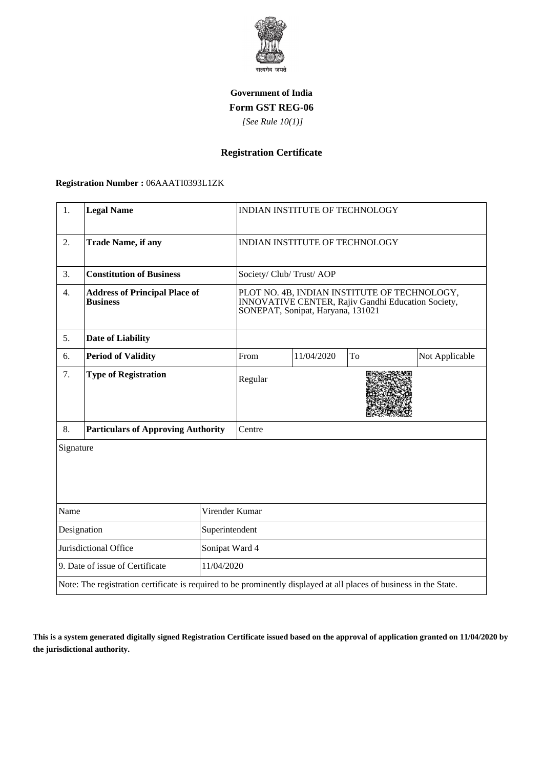

## **Government of India Form GST REG-06**

 *[See Rule 10(1)]*

# **Registration Certificate**

#### **Registration Number :** 06AAATI0393L1ZK

| 1.                                                                                                                 | <b>Legal Name</b>                                       |            | <b>INDIAN INSTITUTE OF TECHNOLOGY</b>                                                                                                   |            |    |                |
|--------------------------------------------------------------------------------------------------------------------|---------------------------------------------------------|------------|-----------------------------------------------------------------------------------------------------------------------------------------|------------|----|----------------|
| 2.                                                                                                                 | <b>Trade Name, if any</b>                               |            | INDIAN INSTITUTE OF TECHNOLOGY                                                                                                          |            |    |                |
| 3.                                                                                                                 | <b>Constitution of Business</b>                         |            | Society/ Club/ Trust/ AOP                                                                                                               |            |    |                |
| 4.                                                                                                                 | <b>Address of Principal Place of</b><br><b>Business</b> |            | PLOT NO. 4B, INDIAN INSTITUTE OF TECHNOLOGY,<br>INNOVATIVE CENTER, Rajiv Gandhi Education Society,<br>SONEPAT, Sonipat, Haryana, 131021 |            |    |                |
| 5.                                                                                                                 | <b>Date of Liability</b>                                |            |                                                                                                                                         |            |    |                |
| 6.                                                                                                                 | <b>Period of Validity</b>                               |            | From                                                                                                                                    | 11/04/2020 | To | Not Applicable |
| 7.                                                                                                                 | <b>Type of Registration</b>                             |            | Regular                                                                                                                                 |            |    |                |
| 8.                                                                                                                 | <b>Particulars of Approving Authority</b>               |            | Centre                                                                                                                                  |            |    |                |
| Signature                                                                                                          |                                                         |            |                                                                                                                                         |            |    |                |
| Name<br>Virender Kumar                                                                                             |                                                         |            |                                                                                                                                         |            |    |                |
| Designation<br>Superintendent                                                                                      |                                                         |            |                                                                                                                                         |            |    |                |
| Jurisdictional Office<br>Sonipat Ward 4                                                                            |                                                         |            |                                                                                                                                         |            |    |                |
| 9. Date of issue of Certificate                                                                                    |                                                         | 11/04/2020 |                                                                                                                                         |            |    |                |
| Note: The registration certificate is required to be prominently displayed at all places of business in the State. |                                                         |            |                                                                                                                                         |            |    |                |

**This is a system generated digitally signed Registration Certificate issued based on the approval of application granted on 11/04/2020 by the jurisdictional authority.**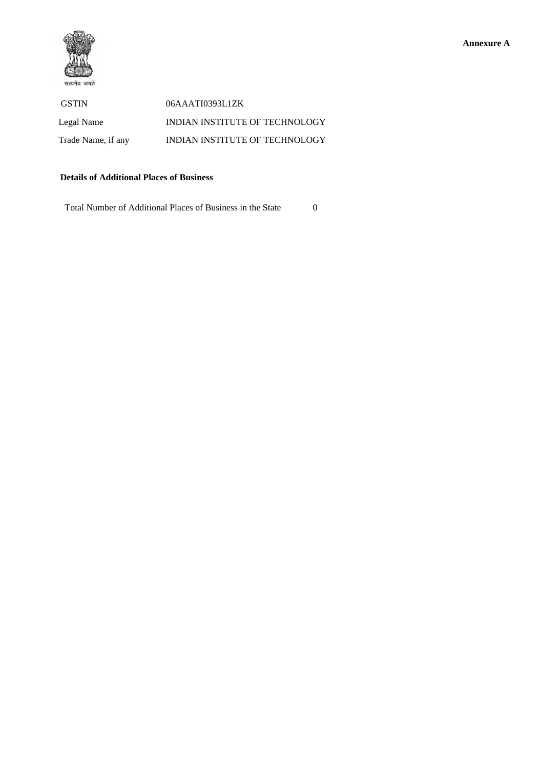

 GSTIN 06AAATI0393L1ZK Legal Name INDIAN INSTITUTE OF TECHNOLOGY Trade Name, if any INDIAN INSTITUTE OF TECHNOLOGY

### **Details of Additional Places of Business**

Total Number of Additional Places of Business in the State 0